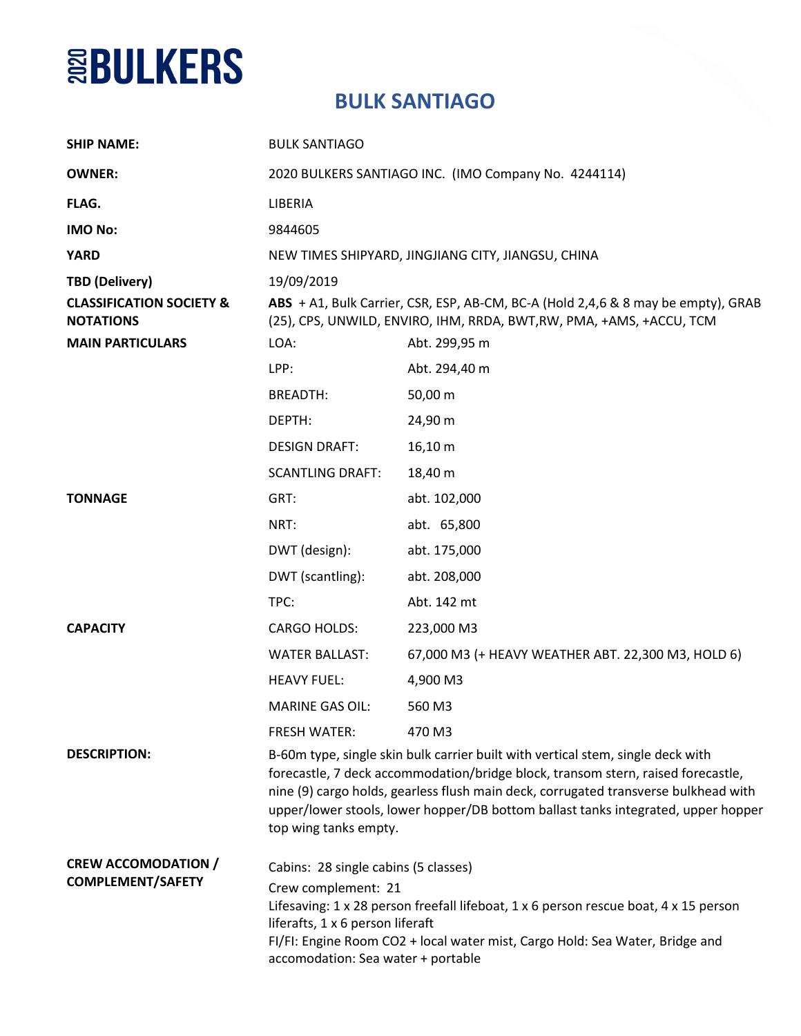## **NODICITY**

## **BULK SANTIAGO**

| <b>SHIP NAME:</b>                                       | <b>BULK SANTIAGO</b>                                                                                                                                                                                                                                                                                                                                                     |                                                    |  |
|---------------------------------------------------------|--------------------------------------------------------------------------------------------------------------------------------------------------------------------------------------------------------------------------------------------------------------------------------------------------------------------------------------------------------------------------|----------------------------------------------------|--|
| <b>OWNER:</b>                                           | 2020 BULKERS SANTIAGO INC. (IMO Company No. 4244114)                                                                                                                                                                                                                                                                                                                     |                                                    |  |
| FLAG.                                                   | LIBERIA                                                                                                                                                                                                                                                                                                                                                                  |                                                    |  |
| <b>IMO No:</b>                                          | 9844605                                                                                                                                                                                                                                                                                                                                                                  |                                                    |  |
| <b>YARD</b>                                             | NEW TIMES SHIPYARD, JINGJIANG CITY, JIANGSU, CHINA                                                                                                                                                                                                                                                                                                                       |                                                    |  |
| <b>TBD (Delivery)</b>                                   | 19/09/2019                                                                                                                                                                                                                                                                                                                                                               |                                                    |  |
| <b>CLASSIFICATION SOCIETY &amp;</b><br><b>NOTATIONS</b> | ABS + A1, Bulk Carrier, CSR, ESP, AB-CM, BC-A (Hold 2,4,6 & 8 may be empty), GRAB<br>(25), CPS, UNWILD, ENVIRO, IHM, RRDA, BWT, RW, PMA, +AMS, +ACCU, TCM                                                                                                                                                                                                                |                                                    |  |
| <b>MAIN PARTICULARS</b>                                 | LOA:                                                                                                                                                                                                                                                                                                                                                                     | Abt. 299,95 m                                      |  |
|                                                         | LPP:                                                                                                                                                                                                                                                                                                                                                                     | Abt. 294,40 m                                      |  |
|                                                         | <b>BREADTH:</b>                                                                                                                                                                                                                                                                                                                                                          | 50,00 m                                            |  |
|                                                         | DEPTH:                                                                                                                                                                                                                                                                                                                                                                   | 24,90 m                                            |  |
|                                                         | <b>DESIGN DRAFT:</b>                                                                                                                                                                                                                                                                                                                                                     | 16,10 m                                            |  |
|                                                         | <b>SCANTLING DRAFT:</b>                                                                                                                                                                                                                                                                                                                                                  | 18,40 m                                            |  |
| <b>TONNAGE</b>                                          | GRT:                                                                                                                                                                                                                                                                                                                                                                     | abt. 102,000                                       |  |
|                                                         | NRT:                                                                                                                                                                                                                                                                                                                                                                     | abt. 65,800                                        |  |
|                                                         | DWT (design):                                                                                                                                                                                                                                                                                                                                                            | abt. 175,000                                       |  |
|                                                         | DWT (scantling):                                                                                                                                                                                                                                                                                                                                                         | abt. 208,000                                       |  |
|                                                         | TPC:                                                                                                                                                                                                                                                                                                                                                                     | Abt. 142 mt                                        |  |
| <b>CAPACITY</b>                                         | <b>CARGO HOLDS:</b>                                                                                                                                                                                                                                                                                                                                                      | 223,000 M3                                         |  |
|                                                         | <b>WATER BALLAST:</b>                                                                                                                                                                                                                                                                                                                                                    | 67,000 M3 (+ HEAVY WEATHER ABT. 22,300 M3, HOLD 6) |  |
|                                                         | <b>HEAVY FUEL:</b>                                                                                                                                                                                                                                                                                                                                                       | 4,900 M3                                           |  |
|                                                         | <b>MARINE GAS OIL:</b>                                                                                                                                                                                                                                                                                                                                                   | 560 M3                                             |  |
|                                                         | <b>FRESH WATER:</b>                                                                                                                                                                                                                                                                                                                                                      | 470 M3                                             |  |
| <b>DESCRIPTION:</b>                                     | B-60m type, single skin bulk carrier built with vertical stem, single deck with<br>forecastle, 7 deck accommodation/bridge block, transom stern, raised forecastle,<br>nine (9) cargo holds, gearless flush main deck, corrugated transverse bulkhead with<br>upper/lower stools, lower hopper/DB bottom ballast tanks integrated, upper hopper<br>top wing tanks empty. |                                                    |  |
| <b>CREW ACCOMODATION /</b><br><b>COMPLEMENT/SAFETY</b>  | Cabins: 28 single cabins (5 classes)<br>Crew complement: 21<br>Lifesaving: 1 x 28 person freefall lifeboat, 1 x 6 person rescue boat, 4 x 15 person<br>liferafts, 1 x 6 person liferaft<br>FI/FI: Engine Room CO2 + local water mist, Cargo Hold: Sea Water, Bridge and<br>accomodation: Sea water + portable                                                            |                                                    |  |